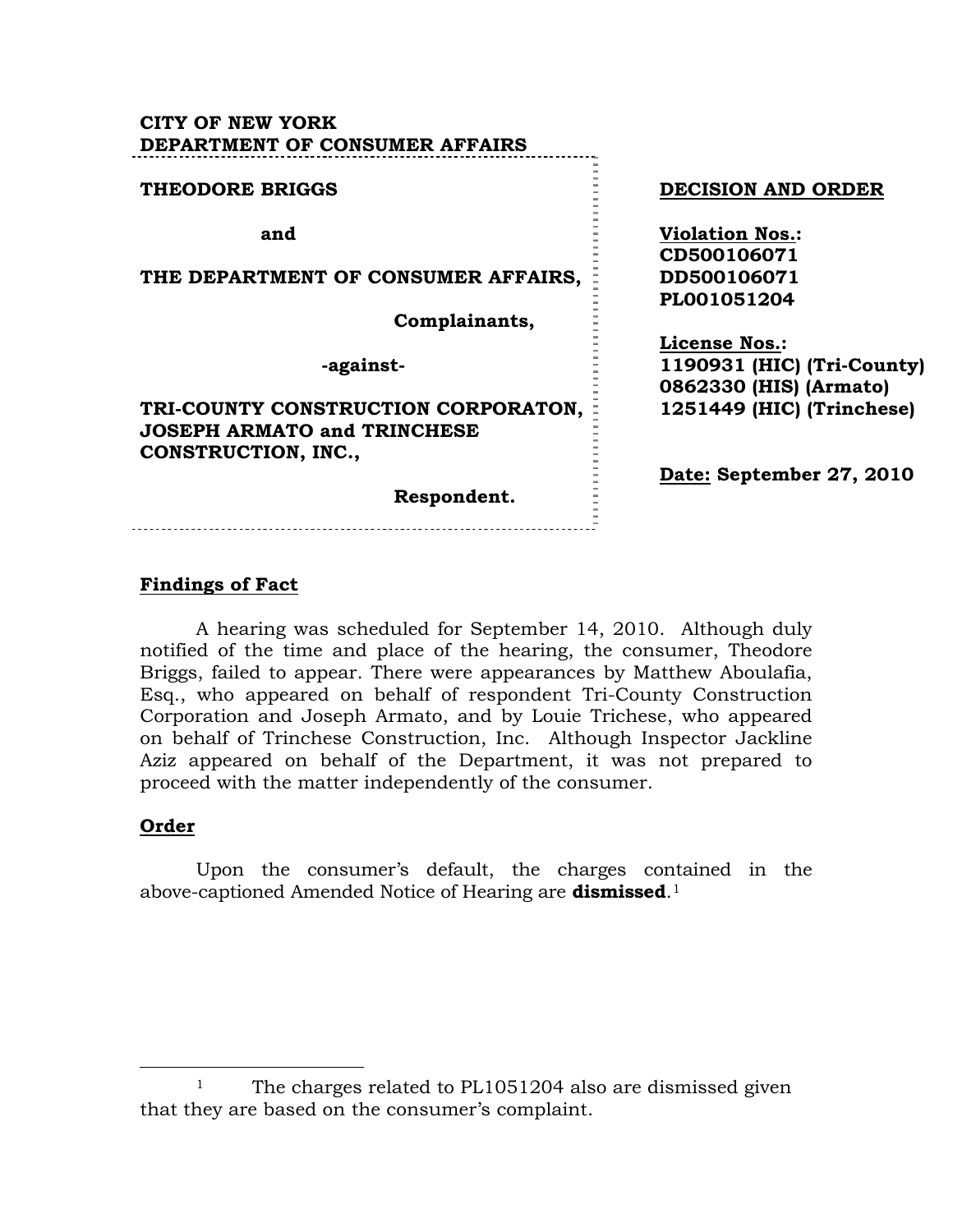## **CITY OF NEW YORK DEPARTMENT OF CONSUMER AFFAIRS**

#### **THEODORE BRIGGS DECISION AND ORDER and Violation Nos.: CD500106071 THE DEPARTMENT OF CONSUMER AFFAIRS, DD500106071 PL001051204 Complainants, License Nos.: 1190931 (HIC) (Tri-County) -against-0862330 (HIS) (Armato) TRI-COUNTY CONSTRUCTION CORPORATON, 1251449 (HIC) (Trinchese) JOSEPH ARMATO and TRINCHESE CONSTRUCTION, INC., Date: September 27, 2010 Respondent.**

## **Findings of Fact**

 A hearing was scheduled for September 14, 2010. Although duly notified of the time and place of the hearing, the consumer, Theodore Briggs, failed to appear. There were appearances by Matthew Aboulafia, Esq., who appeared on behalf of respondent Tri-County Construction Corporation and Joseph Armato, and by Louie Trichese, who appeared on behalf of Trinchese Construction, Inc. Although Inspector Jackline Aziz appeared on behalf of the Department, it was not prepared to proceed with the matter independently of the consumer.

### **Order**

 Upon the consumer's default, the charges contained in the above-captioned Amended Notice of Hearing are **dismissed**.[1](#page-0-0)

<span id="page-0-0"></span><sup>&</sup>lt;sup>1</sup> The charges related to PL1051204 also are dismissed given that they are based on the consumer's complaint.